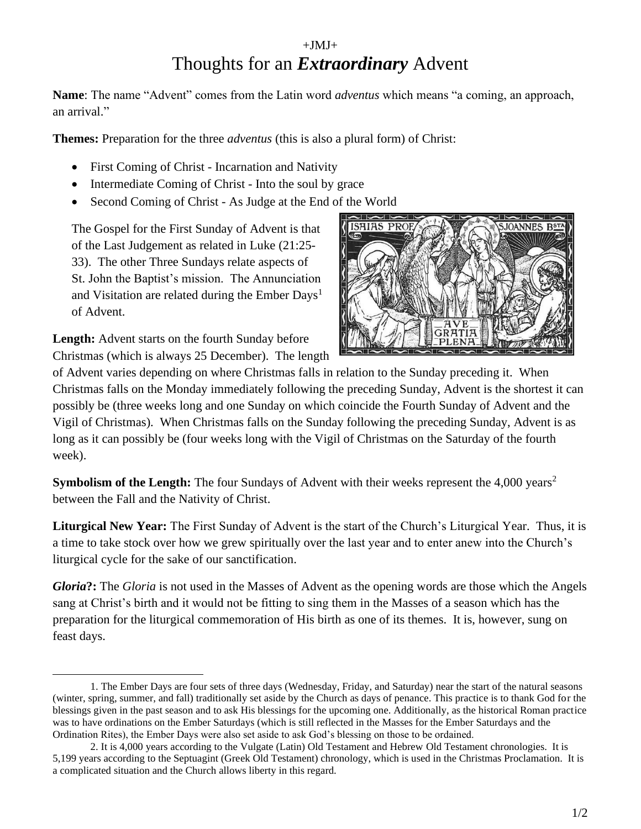## $+JMJ+$ Thoughts for an *Extraordinary* Advent

**Name**: The name "Advent" comes from the Latin word *adventus* which means "a coming, an approach, an arrival."

**Themes:** Preparation for the three *adventus* (this is also a plural form) of Christ:

- First Coming of Christ Incarnation and Nativity
- Intermediate Coming of Christ Into the soul by grace
- Second Coming of Christ As Judge at the End of the World

The Gospel for the First Sunday of Advent is that of the Last Judgement as related in Luke (21:25- 33). The other Three Sundays relate aspects of St. John the Baptist's mission. The Annunciation and Visitation are related during the Ember Days<sup>1</sup> of Advent.

**Length:** Advent starts on the fourth Sunday before Christmas (which is always 25 December). The length



of Advent varies depending on where Christmas falls in relation to the Sunday preceding it. When Christmas falls on the Monday immediately following the preceding Sunday, Advent is the shortest it can possibly be (three weeks long and one Sunday on which coincide the Fourth Sunday of Advent and the Vigil of Christmas). When Christmas falls on the Sunday following the preceding Sunday, Advent is as long as it can possibly be (four weeks long with the Vigil of Christmas on the Saturday of the fourth week).

**Symbolism of the Length:** The four Sundays of Advent with their weeks represent the 4,000 years<sup>2</sup> between the Fall and the Nativity of Christ.

**Liturgical New Year:** The First Sunday of Advent is the start of the Church's Liturgical Year. Thus, it is a time to take stock over how we grew spiritually over the last year and to enter anew into the Church's liturgical cycle for the sake of our sanctification.

*Gloria***?:** The *Gloria* is not used in the Masses of Advent as the opening words are those which the Angels sang at Christ's birth and it would not be fitting to sing them in the Masses of a season which has the preparation for the liturgical commemoration of His birth as one of its themes. It is, however, sung on feast days.

<sup>1.</sup> The Ember Days are four sets of three days (Wednesday, Friday, and Saturday) near the start of the natural seasons (winter, spring, summer, and fall) traditionally set aside by the Church as days of penance. This practice is to thank God for the blessings given in the past season and to ask His blessings for the upcoming one. Additionally, as the historical Roman practice was to have ordinations on the Ember Saturdays (which is still reflected in the Masses for the Ember Saturdays and the Ordination Rites), the Ember Days were also set aside to ask God's blessing on those to be ordained.

<sup>2.</sup> It is 4,000 years according to the Vulgate (Latin) Old Testament and Hebrew Old Testament chronologies. It is 5,199 years according to the Septuagint (Greek Old Testament) chronology, which is used in the Christmas Proclamation. It is a complicated situation and the Church allows liberty in this regard.